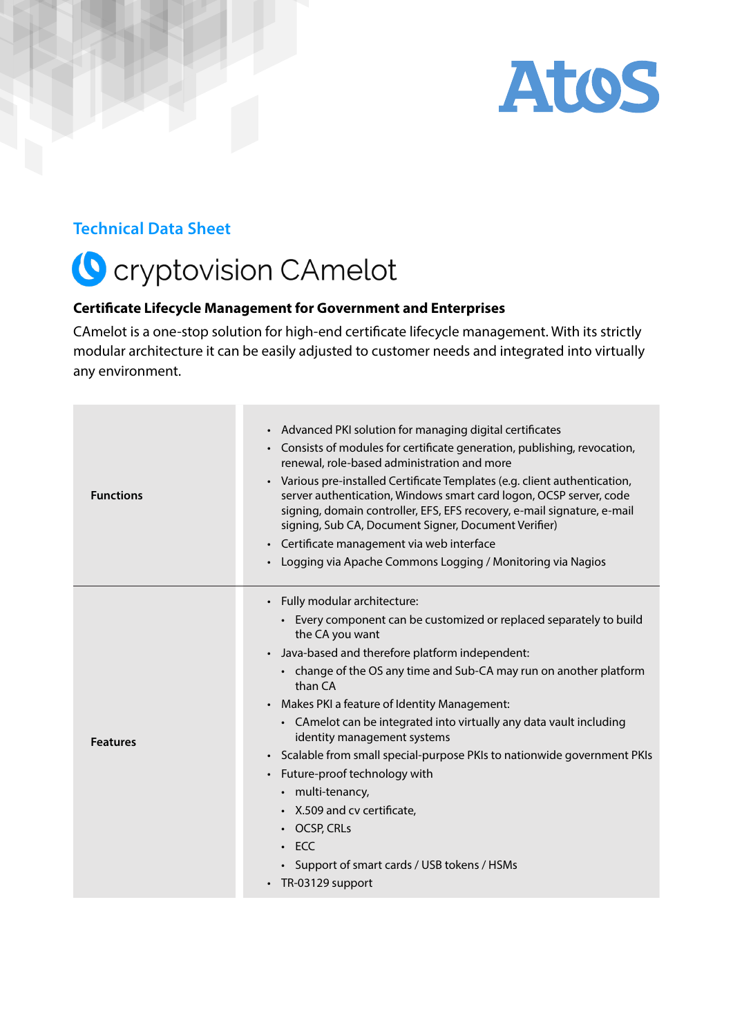

### **Technical Data Sheet**

# C cryptovision CAmelot

#### **Certificate Lifecycle Management for Government and Enterprises**

CAmelot is a one-stop solution for high-end certificate lifecycle management. With its strictly modular architecture it can be easily adjusted to customer needs and integrated into virtually any environment.

| <b>Functions</b> | • Advanced PKI solution for managing digital certificates<br>• Consists of modules for certificate generation, publishing, revocation,<br>renewal, role-based administration and more<br>• Various pre-installed Certificate Templates (e.g. client authentication,<br>server authentication, Windows smart card logon, OCSP server, code<br>signing, domain controller, EFS, EFS recovery, e-mail signature, e-mail<br>signing, Sub CA, Document Signer, Document Verifier)<br>• Certificate management via web interface<br>• Logging via Apache Commons Logging / Monitoring via Nagios                                                                                                      |
|------------------|-------------------------------------------------------------------------------------------------------------------------------------------------------------------------------------------------------------------------------------------------------------------------------------------------------------------------------------------------------------------------------------------------------------------------------------------------------------------------------------------------------------------------------------------------------------------------------------------------------------------------------------------------------------------------------------------------|
| <b>Features</b>  | • Fully modular architecture:<br>• Every component can be customized or replaced separately to build<br>the CA you want<br>• Java-based and therefore platform independent:<br>• change of the OS any time and Sub-CA may run on another platform<br>than CA<br>• Makes PKI a feature of Identity Management:<br>• CAmelot can be integrated into virtually any data vault including<br>identity management systems<br>· Scalable from small special-purpose PKIs to nationwide government PKIs<br>• Future-proof technology with<br>• multi-tenancy,<br>• X.509 and cv certificate,<br>$\cdot$ OCSP, CRLs<br>$\cdot$ ECC<br>• Support of smart cards / USB tokens / HSMs<br>• TR-03129 support |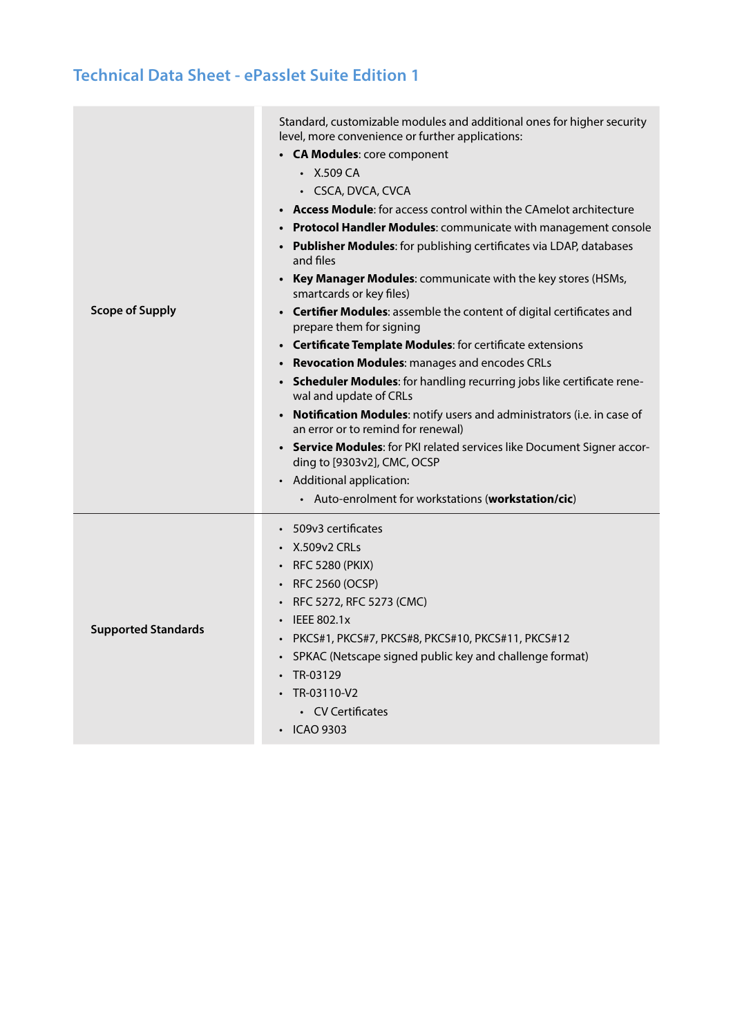## **Technical Data Sheet - ePasslet Suite Edition 1**

| <b>Scope of Supply</b>     | Standard, customizable modules and additional ones for higher security<br>level, more convenience or further applications:<br>• CA Modules: core component<br>$\cdot$ X.509 CA<br>· CSCA, DVCA, CVCA<br>• <b>Access Module</b> : for access control within the CAmelot architecture<br>• Protocol Handler Modules: communicate with management console<br>• Publisher Modules: for publishing certificates via LDAP, databases<br>and files<br>• Key Manager Modules: communicate with the key stores (HSMs,<br>smartcards or key files)<br>• Certifier Modules: assemble the content of digital certificates and<br>prepare them for signing<br>• Certificate Template Modules: for certificate extensions<br>• Revocation Modules: manages and encodes CRLs<br>• Scheduler Modules: for handling recurring jobs like certificate rene-<br>wal and update of CRLs<br>• Notification Modules: notify users and administrators (i.e. in case of<br>an error or to remind for renewal)<br>• Service Modules: for PKI related services like Document Signer accor-<br>ding to [9303v2], CMC, OCSP<br>• Additional application:<br>• Auto-enrolment for workstations (workstation/cic) |
|----------------------------|------------------------------------------------------------------------------------------------------------------------------------------------------------------------------------------------------------------------------------------------------------------------------------------------------------------------------------------------------------------------------------------------------------------------------------------------------------------------------------------------------------------------------------------------------------------------------------------------------------------------------------------------------------------------------------------------------------------------------------------------------------------------------------------------------------------------------------------------------------------------------------------------------------------------------------------------------------------------------------------------------------------------------------------------------------------------------------------------------------------------------------------------------------------------------------|
| <b>Supported Standards</b> | 509v3 certificates<br>• X.509v2 CRLs<br>• RFC 5280 (PKIX)<br>• RFC 2560 (OCSP)<br>RFC 5272, RFC 5273 (CMC)<br><b>IEEE 802.1x</b><br>PKCS#1, PKCS#7, PKCS#8, PKCS#10, PKCS#11, PKCS#12<br>SPKAC (Netscape signed public key and challenge format)<br>TR-03129<br>TR-03110-V2<br>• CV Certificates<br>$\cdot$ ICAO 9303                                                                                                                                                                                                                                                                                                                                                                                                                                                                                                                                                                                                                                                                                                                                                                                                                                                              |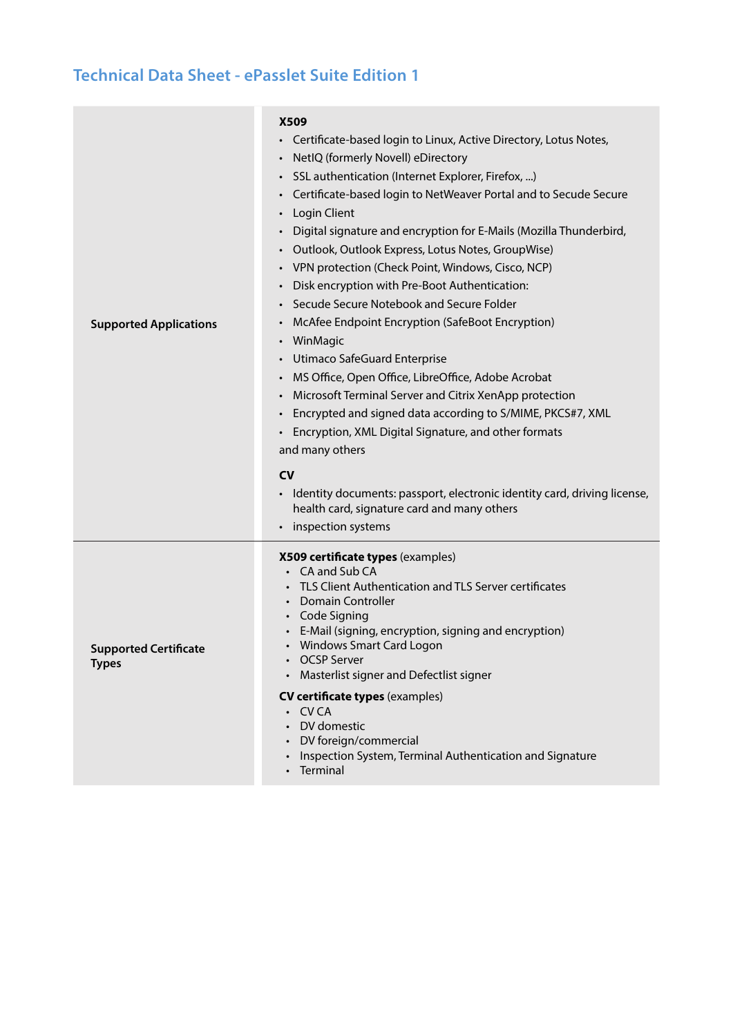# **Technical Data Sheet - ePasslet Suite Edition 1**

| <b>Supported Applications</b>                | <b>X509</b><br>Certificate-based login to Linux, Active Directory, Lotus Notes,<br>$\bullet$<br>NetIQ (formerly Novell) eDirectory<br>$\bullet$<br>SSL authentication (Internet Explorer, Firefox, )<br>Certificate-based login to NetWeaver Portal and to Secude Secure<br>Login Client<br>$\bullet$<br>Digital signature and encryption for E-Mails (Mozilla Thunderbird,<br>Outlook, Outlook Express, Lotus Notes, GroupWise)<br>VPN protection (Check Point, Windows, Cisco, NCP)<br>Disk encryption with Pre-Boot Authentication:<br>Secude Secure Notebook and Secure Folder<br>McAfee Endpoint Encryption (SafeBoot Encryption)<br>WinMagic<br>Utimaco SafeGuard Enterprise<br>MS Office, Open Office, LibreOffice, Adobe Acrobat<br>Microsoft Terminal Server and Citrix XenApp protection<br>Encrypted and signed data according to S/MIME, PKCS#7, XML<br>Encryption, XML Digital Signature, and other formats<br>and many others<br><b>CV</b><br>• Identity documents: passport, electronic identity card, driving license,<br>health card, signature card and many others<br>inspection systems |
|----------------------------------------------|-------------------------------------------------------------------------------------------------------------------------------------------------------------------------------------------------------------------------------------------------------------------------------------------------------------------------------------------------------------------------------------------------------------------------------------------------------------------------------------------------------------------------------------------------------------------------------------------------------------------------------------------------------------------------------------------------------------------------------------------------------------------------------------------------------------------------------------------------------------------------------------------------------------------------------------------------------------------------------------------------------------------------------------------------------------------------------------------------------------|
| <b>Supported Certificate</b><br><b>Types</b> | X509 certificate types (examples)<br>• CA and Sub CA<br>TLS Client Authentication and TLS Server certificates<br><b>Domain Controller</b><br>• Code Signing<br>E-Mail (signing, encryption, signing and encryption)<br>Windows Smart Card Logon<br><b>OCSP Server</b><br>Masterlist signer and Defectlist signer<br><b>CV certificate types (examples)</b>                                                                                                                                                                                                                                                                                                                                                                                                                                                                                                                                                                                                                                                                                                                                                  |
|                                              | · CVCA<br>DV domestic<br>DV foreign/commercial<br>Inspection System, Terminal Authentication and Signature<br>Terminal                                                                                                                                                                                                                                                                                                                                                                                                                                                                                                                                                                                                                                                                                                                                                                                                                                                                                                                                                                                      |